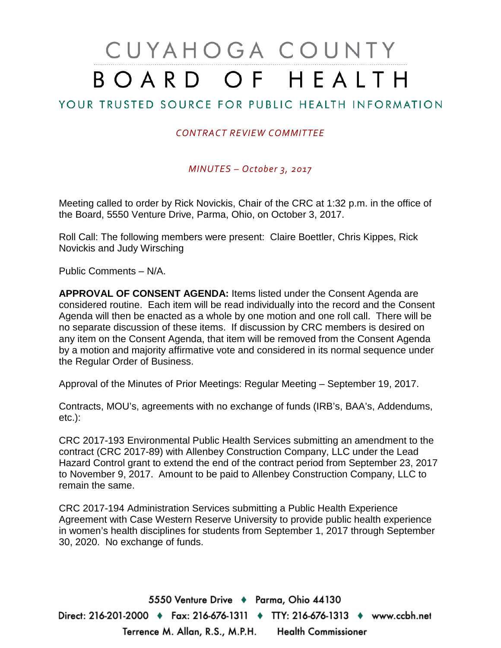# CUYAHOGA COUNTY BOARD OF HEALTH

## YOUR TRUSTED SOURCE FOR PUBLIC HEALTH INFORMATION

#### *CONTRACT REVIEW COMMITTEE*

*MINUTES – October 3, 2017*

Meeting called to order by Rick Novickis, Chair of the CRC at 1:32 p.m. in the office of the Board, 5550 Venture Drive, Parma, Ohio, on October 3, 2017.

Roll Call: The following members were present: Claire Boettler, Chris Kippes, Rick Novickis and Judy Wirsching

Public Comments – N/A.

**APPROVAL OF CONSENT AGENDA:** Items listed under the Consent Agenda are considered routine. Each item will be read individually into the record and the Consent Agenda will then be enacted as a whole by one motion and one roll call. There will be no separate discussion of these items. If discussion by CRC members is desired on any item on the Consent Agenda, that item will be removed from the Consent Agenda by a motion and majority affirmative vote and considered in its normal sequence under the Regular Order of Business.

Approval of the Minutes of Prior Meetings: Regular Meeting – September 19, 2017.

Contracts, MOU's, agreements with no exchange of funds (IRB's, BAA's, Addendums, etc.):

CRC 2017-193 Environmental Public Health Services submitting an amendment to the contract (CRC 2017-89) with Allenbey Construction Company, LLC under the Lead Hazard Control grant to extend the end of the contract period from September 23, 2017 to November 9, 2017. Amount to be paid to Allenbey Construction Company, LLC to remain the same.

CRC 2017-194 Administration Services submitting a Public Health Experience Agreement with Case Western Reserve University to provide public health experience in women's health disciplines for students from September 1, 2017 through September 30, 2020. No exchange of funds.

5550 Venture Drive + Parma, Ohio 44130 Direct: 216-201-2000 ♦ Fax: 216-676-1311 ♦ TTY: 216-676-1313 ♦ www.ccbh.net Terrence M. Allan, R.S., M.P.H. Health Commissioner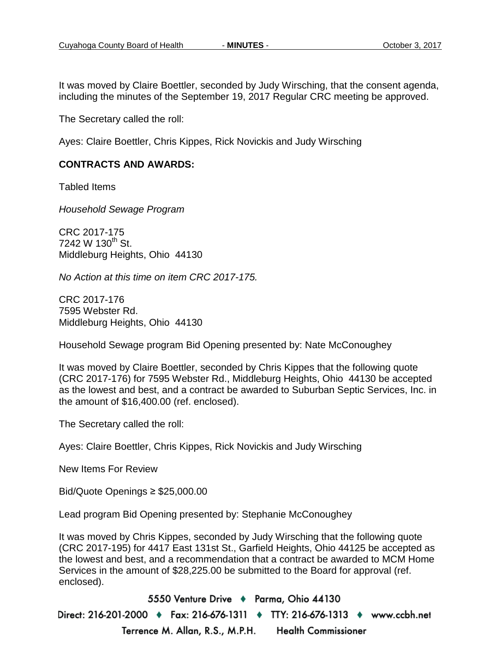It was moved by Claire Boettler, seconded by Judy Wirsching, that the consent agenda, including the minutes of the September 19, 2017 Regular CRC meeting be approved.

The Secretary called the roll:

Ayes: Claire Boettler, Chris Kippes, Rick Novickis and Judy Wirsching

#### **CONTRACTS AND AWARDS:**

Tabled Items

*Household Sewage Program*

CRC 2017-175  $7242 \text{ W } 130^{\text{th}}$  St. Middleburg Heights, Ohio 44130

*No Action at this time on item CRC 2017-175.*

CRC 2017-176 7595 Webster Rd. Middleburg Heights, Ohio 44130

Household Sewage program Bid Opening presented by: Nate McConoughey

It was moved by Claire Boettler, seconded by Chris Kippes that the following quote (CRC 2017-176) for 7595 Webster Rd., Middleburg Heights, Ohio 44130 be accepted as the lowest and best, and a contract be awarded to Suburban Septic Services, Inc. in the amount of \$16,400.00 (ref. enclosed).

The Secretary called the roll:

Ayes: Claire Boettler, Chris Kippes, Rick Novickis and Judy Wirsching

New Items For Review

Bid/Quote Openings ≥ \$25,000.00

Lead program Bid Opening presented by: Stephanie McConoughey

It was moved by Chris Kippes, seconded by Judy Wirsching that the following quote (CRC 2017-195) for 4417 East 131st St., Garfield Heights, Ohio 44125 be accepted as the lowest and best, and a recommendation that a contract be awarded to MCM Home Services in the amount of \$28,225.00 be submitted to the Board for approval (ref. enclosed).

5550 Venture Drive + Parma, Ohio 44130 Direct: 216-201-2000 ♦ Fax: 216-676-1311 ♦ TTY: 216-676-1313 ♦ www.ccbh.net Terrence M. Allan, R.S., M.P.H. **Health Commissioner**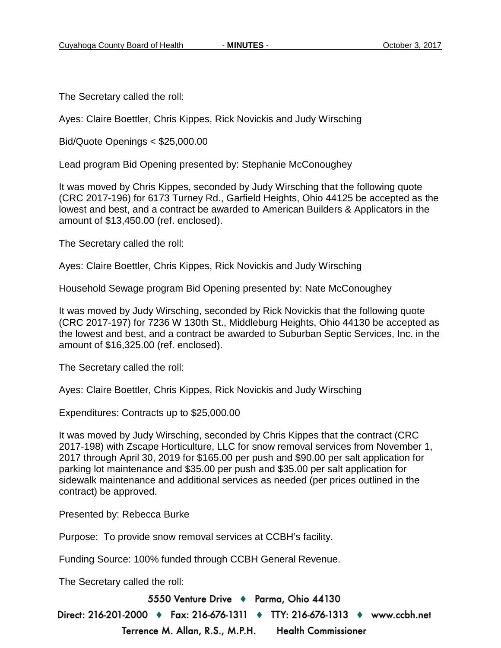The Secretary called the roll:

Ayes: Claire Boettler, Chris Kippes, Rick Novickis and Judy Wirsching

Bid/Quote Openings < \$25,000.00

Lead program Bid Opening presented by: Stephanie McConoughey

It was moved by Chris Kippes, seconded by Judy Wirsching that the following quote (CRC 2017-196) for 6173 Turney Rd., Garfield Heights, Ohio 44125 be accepted as the lowest and best, and a contract be awarded to American Builders & Applicators in the amount of \$13,450.00 (ref. enclosed).

The Secretary called the roll:

Ayes: Claire Boettler, Chris Kippes, Rick Novickis and Judy Wirsching

Household Sewage program Bid Opening presented by: Nate McConoughey

It was moved by Judy Wirsching, seconded by Rick Novickis that the following quote (CRC 2017-197) for 7236 W 130th St., Middleburg Heights, Ohio 44130 be accepted as the lowest and best, and a contract be awarded to Suburban Septic Services, Inc. in the amount of \$16,325.00 (ref. enclosed).

The Secretary called the roll:

Ayes: Claire Boettler, Chris Kippes, Rick Novickis and Judy Wirsching

Expenditures: Contracts up to \$25,000.00

It was moved by Judy Wirsching, seconded by Chris Kippes that the contract (CRC 2017-198) with Zscape Horticulture, LLC for snow removal services from November 1, 2017 through April 30, 2019 for \$165.00 per push and \$90.00 per salt application for parking lot maintenance and \$35.00 per push and \$35.00 per salt application for sidewalk maintenance and additional services as needed (per prices outlined in the contract) be approved.

Presented by: Rebecca Burke

Purpose: To provide snow removal services at CCBH's facility.

Funding Source: 100% funded through CCBH General Revenue.

The Secretary called the roll:

5550 Venture Drive + Parma, Ohio 44130

Direct: 216-201-2000 ♦ Fax: 216-676-1311 ♦ TTY: 216-676-1313 ♦ www.ccbh.net Terrence M. Allan, R.S., M.P.H. **Health Commissioner**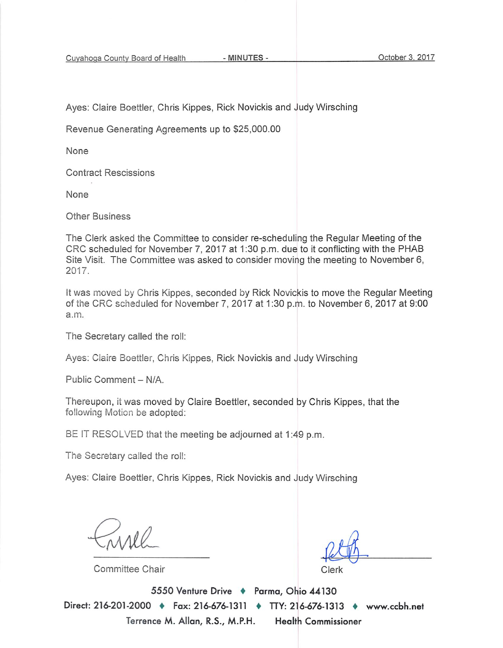Cuyahoga County Board of Health

- MINUTES -

Ayes: Claire Boettler, Chris Kippes, Rick Novickis and Judy Wirsching

Revenue Generating Agreements up to \$25,000.00

None

**Contract Rescissions** 

None

**Other Business** 

The Clerk asked the Committee to consider re-scheduling the Regular Meeting of the CRC scheduled for November 7, 2017 at 1:30 p.m. due to it conflicting with the PHAB Site Visit. The Committee was asked to consider moving the meeting to November 6, 2017.

It was moved by Chris Kippes, seconded by Rick Novickis to move the Regular Meeting of the CRC scheduled for November 7, 2017 at 1:30 p.m. to November 6, 2017 at 9:00 a.m.

The Secretary called the roll:

Ayes: Claire Boettler, Chris Kippes, Rick Novickis and Judy Wirsching

Public Comment - N/A.

Thereupon, it was moved by Claire Boettler, seconded by Chris Kippes, that the following Motion be adopted:

BE IT RESOLVED that the meeting be adjourned at 1:49 p.m.

The Secretary called the roll:

Ayes: Claire Boettler, Chris Kippes, Rick Novickis and Judy Wirsching

Committee Chair

∩lerk.

5550 Venture Drive + Parma, Ohio 44130 Direct: 216-201-2000 • Fax: 216-676-1311 • TTY: 216-676-1313 • www.ccbh.net Terrence M. Allan, R.S., M.P.H. **Health Commissioner**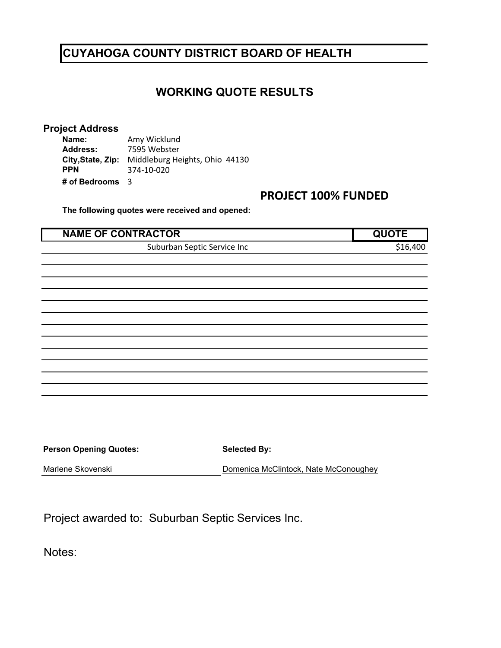# **WORKING QUOTE RESULTS**

#### **Project Address**

**Name: Address:** 7595 Webster **City,State, Zip:** Middleburg Heights, Ohio 44130 **PPN # of Bedrooms** 3 374‐10‐020 Amy Wicklund

## **PROJECT 100% FUNDED**

**The following quotes were received and opened:** 

| <b>NAME OF CONTRACTOR</b>   |                      |
|-----------------------------|----------------------|
| Suburban Septic Service Inc | S <sub>16</sub> .400 |

| <b>Person Opening Quotes:</b> | <b>Selected By:</b>                   |  |  |  |  |
|-------------------------------|---------------------------------------|--|--|--|--|
| Marlene Skovenski             | Domenica McClintock, Nate McConoughey |  |  |  |  |

Project awarded to: Suburban Septic Services Inc.

Notes: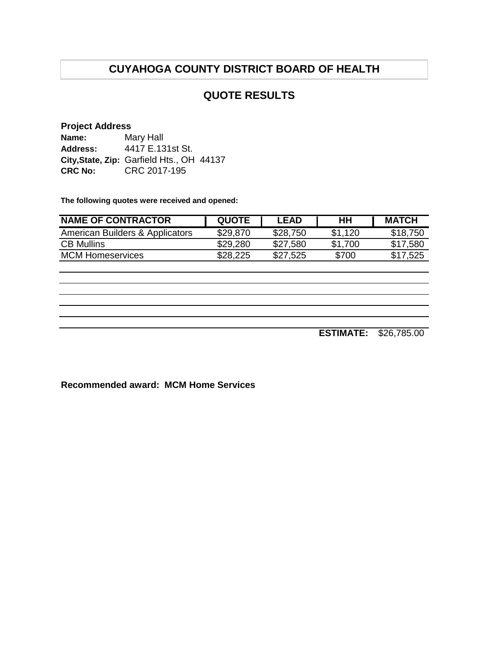## **QUOTE RESULTS**

#### **Project Address**

| Name:          | Mary Hall                                 |
|----------------|-------------------------------------------|
| Address:       | 4417 E.131st St.                          |
|                | City, State, Zip: Garfield Hts., OH 44137 |
| <b>CRC No:</b> | CRC 2017-195                              |

**The following quotes were received and opened:**

| <b>NAME OF CONTRACTOR</b>       | <b>QUOTE</b> | LEAD     | HН      | <b>MATCH</b> |
|---------------------------------|--------------|----------|---------|--------------|
| American Builders & Applicators | \$29,870     | \$28,750 | \$1.120 | \$18,750     |
| <b>CB Mullins</b>               | \$29,280     | \$27,580 | \$1.700 | \$17,580     |
| <b>MCM Homeservices</b>         | \$28,225     | \$27,525 | \$700   | \$17,525     |

**ESTIMATE:** \$26,785.00

**Recommended award: MCM Home Services**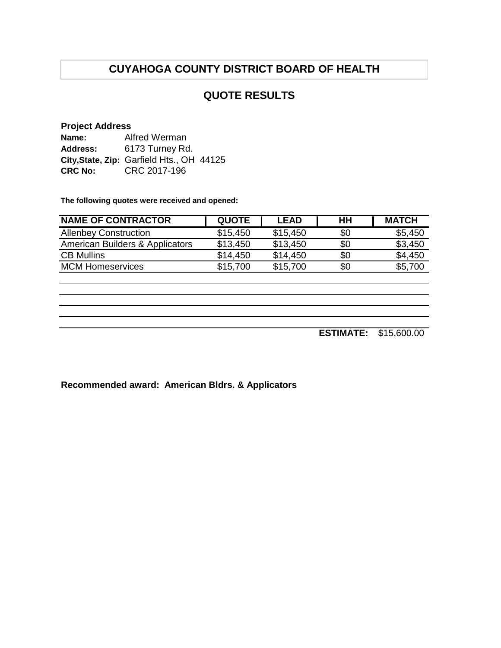## **QUOTE RESULTS**

#### **Project Address**

| Name:          | Alfred Werman                             |
|----------------|-------------------------------------------|
| Address:       | 6173 Turney Rd.                           |
|                | City, State, Zip: Garfield Hts., OH 44125 |
| <b>CRC No:</b> | CRC 2017-196                              |

**The following quotes were received and opened:**

| <b>NAME OF CONTRACTOR</b>       | <b>QUOTE</b> | LEAD     | HН  | <b>MATCH</b> |
|---------------------------------|--------------|----------|-----|--------------|
| <b>Allenbey Construction</b>    | \$15,450     | \$15,450 | \$0 | \$5,450      |
| American Builders & Applicators | \$13,450     | \$13,450 | \$0 | \$3,450      |
| <b>CB Mullins</b>               | \$14.450     | \$14.450 | \$0 | \$4,450      |
| <b>MCM Homeservices</b>         | \$15,700     | \$15,700 | \$0 | \$5,700      |

**ESTIMATE:** \$15,600.00

**Recommended award: American Bldrs. & Applicators**